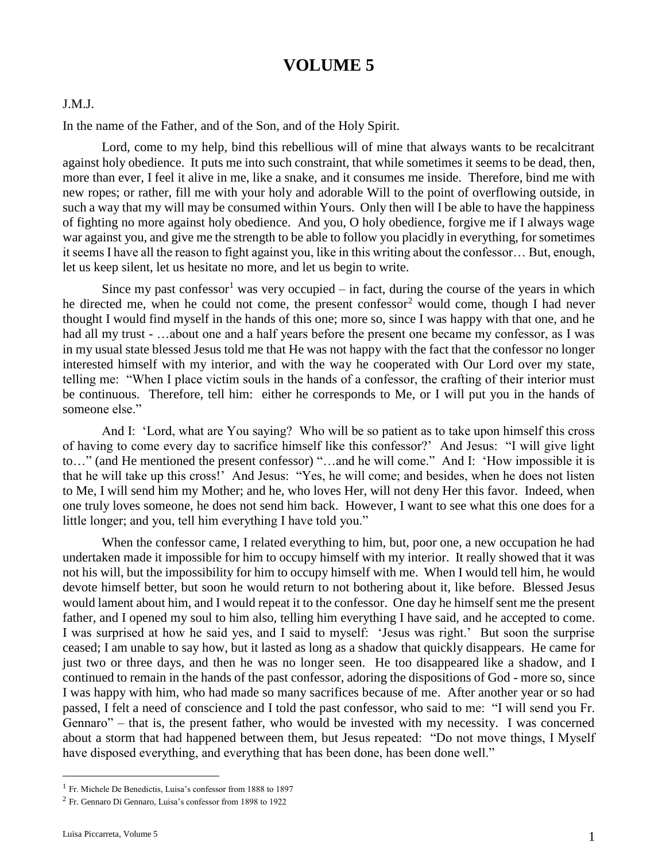# **VOLUME 5**

### J.M.J.

In the name of the Father, and of the Son, and of the Holy Spirit.

Lord, come to my help, bind this rebellious will of mine that always wants to be recalcitrant against holy obedience. It puts me into such constraint, that while sometimes it seems to be dead, then, more than ever, I feel it alive in me, like a snake, and it consumes me inside. Therefore, bind me with new ropes; or rather, fill me with your holy and adorable Will to the point of overflowing outside, in such a way that my will may be consumed within Yours. Only then will I be able to have the happiness of fighting no more against holy obedience. And you, O holy obedience, forgive me if I always wage war against you, and give me the strength to be able to follow you placidly in everything, for sometimes it seems I have all the reason to fight against you, like in this writing about the confessor… But, enough, let us keep silent, let us hesitate no more, and let us begin to write.

Since my past confessor<sup>1</sup> was very occupied – in fact, during the course of the years in which he directed me, when he could not come, the present confessor<sup>2</sup> would come, though I had never thought I would find myself in the hands of this one; more so, since I was happy with that one, and he had all my trust - ...about one and a half years before the present one became my confessor, as I was in my usual state blessed Jesus told me that He was not happy with the fact that the confessor no longer interested himself with my interior, and with the way he cooperated with Our Lord over my state, telling me: "When I place victim souls in the hands of a confessor, the crafting of their interior must be continuous. Therefore, tell him: either he corresponds to Me, or I will put you in the hands of someone else."

And I: 'Lord, what are You saying? Who will be so patient as to take upon himself this cross of having to come every day to sacrifice himself like this confessor?' And Jesus: "I will give light to…" (and He mentioned the present confessor) "…and he will come." And I: 'How impossible it is that he will take up this cross!' And Jesus: "Yes, he will come; and besides, when he does not listen to Me, I will send him my Mother; and he, who loves Her, will not deny Her this favor. Indeed, when one truly loves someone, he does not send him back. However, I want to see what this one does for a little longer; and you, tell him everything I have told you."

When the confessor came, I related everything to him, but, poor one, a new occupation he had undertaken made it impossible for him to occupy himself with my interior. It really showed that it was not his will, but the impossibility for him to occupy himself with me. When I would tell him, he would devote himself better, but soon he would return to not bothering about it, like before. Blessed Jesus would lament about him, and I would repeat it to the confessor. One day he himself sent me the present father, and I opened my soul to him also, telling him everything I have said, and he accepted to come. I was surprised at how he said yes, and I said to myself: 'Jesus was right.' But soon the surprise ceased; I am unable to say how, but it lasted as long as a shadow that quickly disappears. He came for just two or three days, and then he was no longer seen. He too disappeared like a shadow, and I continued to remain in the hands of the past confessor, adoring the dispositions of God - more so, since I was happy with him, who had made so many sacrifices because of me. After another year or so had passed, I felt a need of conscience and I told the past confessor, who said to me: "I will send you Fr. Gennaro" – that is, the present father, who would be invested with my necessity. I was concerned about a storm that had happened between them, but Jesus repeated: "Do not move things, I Myself have disposed everything, and everything that has been done, has been done well."

 $\overline{a}$ 

<sup>1</sup> Fr. Michele De Benedictis, Luisa's confessor from 1888 to 1897

<sup>2</sup> Fr. Gennaro Di Gennaro, Luisa's confessor from 1898 to 1922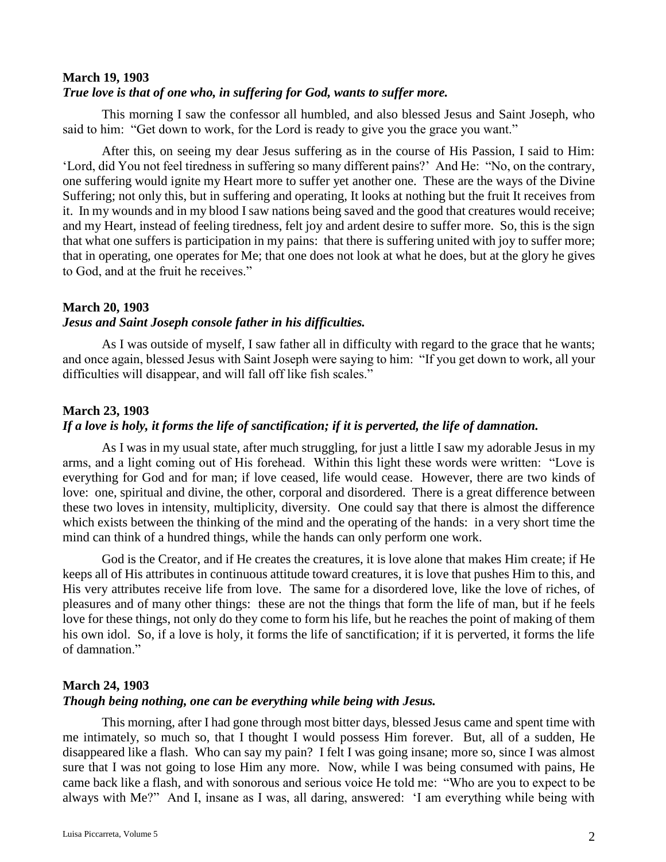### **March 19, 1903**

### *True love is that of one who, in suffering for God, wants to suffer more.*

This morning I saw the confessor all humbled, and also blessed Jesus and Saint Joseph, who said to him: "Get down to work, for the Lord is ready to give you the grace you want."

After this, on seeing my dear Jesus suffering as in the course of His Passion, I said to Him: 'Lord, did You not feel tiredness in suffering so many different pains?' And He: "No, on the contrary, one suffering would ignite my Heart more to suffer yet another one. These are the ways of the Divine Suffering; not only this, but in suffering and operating, It looks at nothing but the fruit It receives from it. In my wounds and in my blood I saw nations being saved and the good that creatures would receive; and my Heart, instead of feeling tiredness, felt joy and ardent desire to suffer more. So, this is the sign that what one suffers is participation in my pains: that there is suffering united with joy to suffer more; that in operating, one operates for Me; that one does not look at what he does, but at the glory he gives to God, and at the fruit he receives."

# **March 20, 1903**

### *Jesus and Saint Joseph console father in his difficulties.*

As I was outside of myself, I saw father all in difficulty with regard to the grace that he wants; and once again, blessed Jesus with Saint Joseph were saying to him: "If you get down to work, all your difficulties will disappear, and will fall off like fish scales."

### **March 23, 1903**

### *If a love is holy, it forms the life of sanctification; if it is perverted, the life of damnation.*

As I was in my usual state, after much struggling, for just a little I saw my adorable Jesus in my arms, and a light coming out of His forehead. Within this light these words were written: "Love is everything for God and for man; if love ceased, life would cease. However, there are two kinds of love: one, spiritual and divine, the other, corporal and disordered. There is a great difference between these two loves in intensity, multiplicity, diversity. One could say that there is almost the difference which exists between the thinking of the mind and the operating of the hands: in a very short time the mind can think of a hundred things, while the hands can only perform one work.

God is the Creator, and if He creates the creatures, it is love alone that makes Him create; if He keeps all of His attributes in continuous attitude toward creatures, it is love that pushes Him to this, and His very attributes receive life from love. The same for a disordered love, like the love of riches, of pleasures and of many other things: these are not the things that form the life of man, but if he feels love for these things, not only do they come to form his life, but he reaches the point of making of them his own idol. So, if a love is holy, it forms the life of sanctification; if it is perverted, it forms the life of damnation."

### **March 24, 1903**

#### *Though being nothing, one can be everything while being with Jesus.*

This morning, after I had gone through most bitter days, blessed Jesus came and spent time with me intimately, so much so, that I thought I would possess Him forever. But, all of a sudden, He disappeared like a flash. Who can say my pain? I felt I was going insane; more so, since I was almost sure that I was not going to lose Him any more. Now, while I was being consumed with pains, He came back like a flash, and with sonorous and serious voice He told me: "Who are you to expect to be always with Me?" And I, insane as I was, all daring, answered: 'I am everything while being with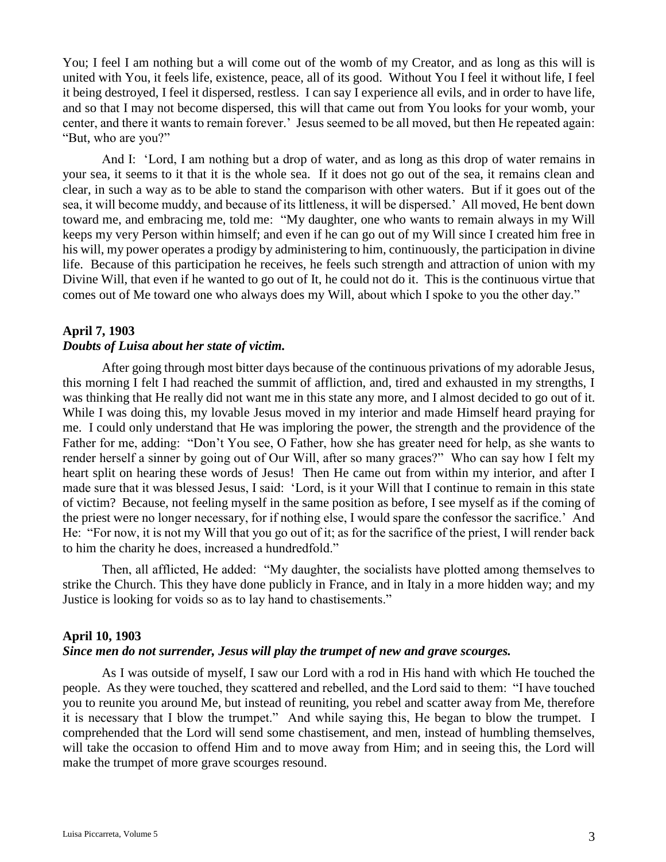You; I feel I am nothing but a will come out of the womb of my Creator, and as long as this will is united with You, it feels life, existence, peace, all of its good. Without You I feel it without life, I feel it being destroyed, I feel it dispersed, restless. I can say I experience all evils, and in order to have life, and so that I may not become dispersed, this will that came out from You looks for your womb, your center, and there it wants to remain forever.' Jesus seemed to be all moved, but then He repeated again: "But, who are you?"

And I: 'Lord, I am nothing but a drop of water, and as long as this drop of water remains in your sea, it seems to it that it is the whole sea. If it does not go out of the sea, it remains clean and clear, in such a way as to be able to stand the comparison with other waters. But if it goes out of the sea, it will become muddy, and because of its littleness, it will be dispersed.' All moved, He bent down toward me, and embracing me, told me: "My daughter, one who wants to remain always in my Will keeps my very Person within himself; and even if he can go out of my Will since I created him free in his will, my power operates a prodigy by administering to him, continuously, the participation in divine life. Because of this participation he receives, he feels such strength and attraction of union with my Divine Will, that even if he wanted to go out of It, he could not do it. This is the continuous virtue that comes out of Me toward one who always does my Will, about which I spoke to you the other day."

### **April 7, 1903** *Doubts of Luisa about her state of victim.*

After going through most bitter days because of the continuous privations of my adorable Jesus, this morning I felt I had reached the summit of affliction, and, tired and exhausted in my strengths, I was thinking that He really did not want me in this state any more, and I almost decided to go out of it. While I was doing this, my lovable Jesus moved in my interior and made Himself heard praying for me. I could only understand that He was imploring the power, the strength and the providence of the Father for me, adding: "Don't You see, O Father, how she has greater need for help, as she wants to render herself a sinner by going out of Our Will, after so many graces?" Who can say how I felt my heart split on hearing these words of Jesus! Then He came out from within my interior, and after I made sure that it was blessed Jesus, I said: 'Lord, is it your Will that I continue to remain in this state of victim? Because, not feeling myself in the same position as before, I see myself as if the coming of the priest were no longer necessary, for if nothing else, I would spare the confessor the sacrifice.' And He: "For now, it is not my Will that you go out of it; as for the sacrifice of the priest, I will render back to him the charity he does, increased a hundredfold."

Then, all afflicted, He added: "My daughter, the socialists have plotted among themselves to strike the Church. This they have done publicly in France, and in Italy in a more hidden way; and my Justice is looking for voids so as to lay hand to chastisements."

# **April 10, 1903**

# *Since men do not surrender, Jesus will play the trumpet of new and grave scourges.*

As I was outside of myself, I saw our Lord with a rod in His hand with which He touched the people. As they were touched, they scattered and rebelled, and the Lord said to them: "I have touched you to reunite you around Me, but instead of reuniting, you rebel and scatter away from Me, therefore it is necessary that I blow the trumpet." And while saying this, He began to blow the trumpet. I comprehended that the Lord will send some chastisement, and men, instead of humbling themselves, will take the occasion to offend Him and to move away from Him; and in seeing this, the Lord will make the trumpet of more grave scourges resound.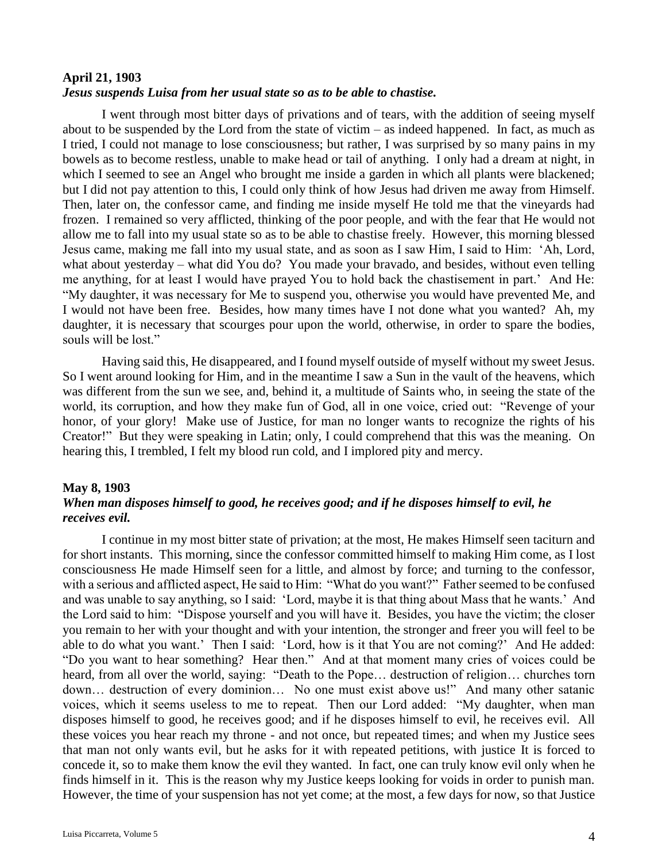#### **April 21, 1903**

### *Jesus suspends Luisa from her usual state so as to be able to chastise.*

I went through most bitter days of privations and of tears, with the addition of seeing myself about to be suspended by the Lord from the state of victim – as indeed happened. In fact, as much as I tried, I could not manage to lose consciousness; but rather, I was surprised by so many pains in my bowels as to become restless, unable to make head or tail of anything. I only had a dream at night, in which I seemed to see an Angel who brought me inside a garden in which all plants were blackened; but I did not pay attention to this, I could only think of how Jesus had driven me away from Himself. Then, later on, the confessor came, and finding me inside myself He told me that the vineyards had frozen. I remained so very afflicted, thinking of the poor people, and with the fear that He would not allow me to fall into my usual state so as to be able to chastise freely. However, this morning blessed Jesus came, making me fall into my usual state, and as soon as I saw Him, I said to Him: 'Ah, Lord, what about yesterday – what did You do? You made your bravado, and besides, without even telling me anything, for at least I would have prayed You to hold back the chastisement in part.' And He: "My daughter, it was necessary for Me to suspend you, otherwise you would have prevented Me, and I would not have been free. Besides, how many times have I not done what you wanted? Ah, my daughter, it is necessary that scourges pour upon the world, otherwise, in order to spare the bodies, souls will be lost."

Having said this, He disappeared, and I found myself outside of myself without my sweet Jesus. So I went around looking for Him, and in the meantime I saw a Sun in the vault of the heavens, which was different from the sun we see, and, behind it, a multitude of Saints who, in seeing the state of the world, its corruption, and how they make fun of God, all in one voice, cried out: "Revenge of your honor, of your glory! Make use of Justice, for man no longer wants to recognize the rights of his Creator!" But they were speaking in Latin; only, I could comprehend that this was the meaning. On hearing this, I trembled, I felt my blood run cold, and I implored pity and mercy.

### **May 8, 1903**

# *When man disposes himself to good, he receives good; and if he disposes himself to evil, he receives evil.*

I continue in my most bitter state of privation; at the most, He makes Himself seen taciturn and for short instants. This morning, since the confessor committed himself to making Him come, as I lost consciousness He made Himself seen for a little, and almost by force; and turning to the confessor, with a serious and afflicted aspect, He said to Him: "What do you want?" Father seemed to be confused and was unable to say anything, so I said: 'Lord, maybe it is that thing about Mass that he wants.' And the Lord said to him: "Dispose yourself and you will have it. Besides, you have the victim; the closer you remain to her with your thought and with your intention, the stronger and freer you will feel to be able to do what you want.' Then I said: 'Lord, how is it that You are not coming?' And He added: "Do you want to hear something? Hear then." And at that moment many cries of voices could be heard, from all over the world, saying: "Death to the Pope… destruction of religion… churches torn down… destruction of every dominion… No one must exist above us!" And many other satanic voices, which it seems useless to me to repeat. Then our Lord added: "My daughter, when man disposes himself to good, he receives good; and if he disposes himself to evil, he receives evil. All these voices you hear reach my throne - and not once, but repeated times; and when my Justice sees that man not only wants evil, but he asks for it with repeated petitions, with justice It is forced to concede it, so to make them know the evil they wanted. In fact, one can truly know evil only when he finds himself in it. This is the reason why my Justice keeps looking for voids in order to punish man. However, the time of your suspension has not yet come; at the most, a few days for now, so that Justice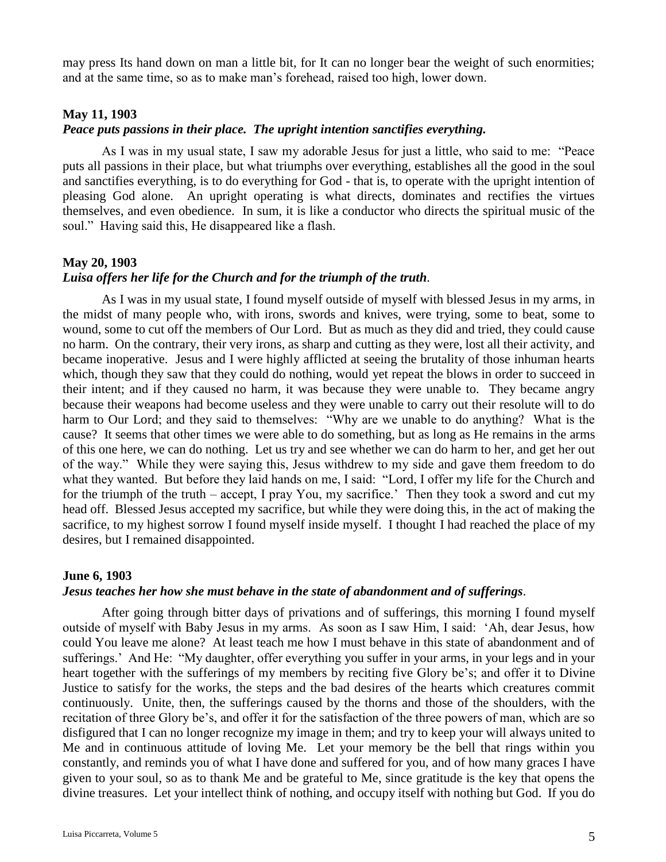may press Its hand down on man a little bit, for It can no longer bear the weight of such enormities; and at the same time, so as to make man's forehead, raised too high, lower down.

#### **May 11, 1903**

#### *Peace puts passions in their place. The upright intention sanctifies everything.*

As I was in my usual state, I saw my adorable Jesus for just a little, who said to me: "Peace puts all passions in their place, but what triumphs over everything, establishes all the good in the soul and sanctifies everything, is to do everything for God - that is, to operate with the upright intention of pleasing God alone. An upright operating is what directs, dominates and rectifies the virtues themselves, and even obedience. In sum, it is like a conductor who directs the spiritual music of the soul." Having said this, He disappeared like a flash.

#### **May 20, 1903**

#### *Luisa offers her life for the Church and for the triumph of the truth.*

As I was in my usual state, I found myself outside of myself with blessed Jesus in my arms, in the midst of many people who, with irons, swords and knives, were trying, some to beat, some to wound, some to cut off the members of Our Lord. But as much as they did and tried, they could cause no harm. On the contrary, their very irons, as sharp and cutting as they were, lost all their activity, and became inoperative. Jesus and I were highly afflicted at seeing the brutality of those inhuman hearts which, though they saw that they could do nothing, would yet repeat the blows in order to succeed in their intent; and if they caused no harm, it was because they were unable to. They became angry because their weapons had become useless and they were unable to carry out their resolute will to do harm to Our Lord; and they said to themselves: "Why are we unable to do anything? What is the cause? It seems that other times we were able to do something, but as long as He remains in the arms of this one here, we can do nothing. Let us try and see whether we can do harm to her, and get her out of the way." While they were saying this, Jesus withdrew to my side and gave them freedom to do what they wanted. But before they laid hands on me, I said: "Lord, I offer my life for the Church and for the triumph of the truth – accept, I pray You, my sacrifice.' Then they took a sword and cut my head off. Blessed Jesus accepted my sacrifice, but while they were doing this, in the act of making the sacrifice, to my highest sorrow I found myself inside myself. I thought I had reached the place of my desires, but I remained disappointed.

### **June 6, 1903**

#### *Jesus teaches her how she must behave in the state of abandonment and of sufferings.*

After going through bitter days of privations and of sufferings, this morning I found myself outside of myself with Baby Jesus in my arms. As soon as I saw Him, I said: 'Ah, dear Jesus, how could You leave me alone? At least teach me how I must behave in this state of abandonment and of sufferings.' And He: "My daughter, offer everything you suffer in your arms, in your legs and in your heart together with the sufferings of my members by reciting five Glory be's; and offer it to Divine Justice to satisfy for the works, the steps and the bad desires of the hearts which creatures commit continuously. Unite, then, the sufferings caused by the thorns and those of the shoulders, with the recitation of three Glory be's, and offer it for the satisfaction of the three powers of man, which are so disfigured that I can no longer recognize my image in them; and try to keep your will always united to Me and in continuous attitude of loving Me. Let your memory be the bell that rings within you constantly, and reminds you of what I have done and suffered for you, and of how many graces I have given to your soul, so as to thank Me and be grateful to Me, since gratitude is the key that opens the divine treasures. Let your intellect think of nothing, and occupy itself with nothing but God. If you do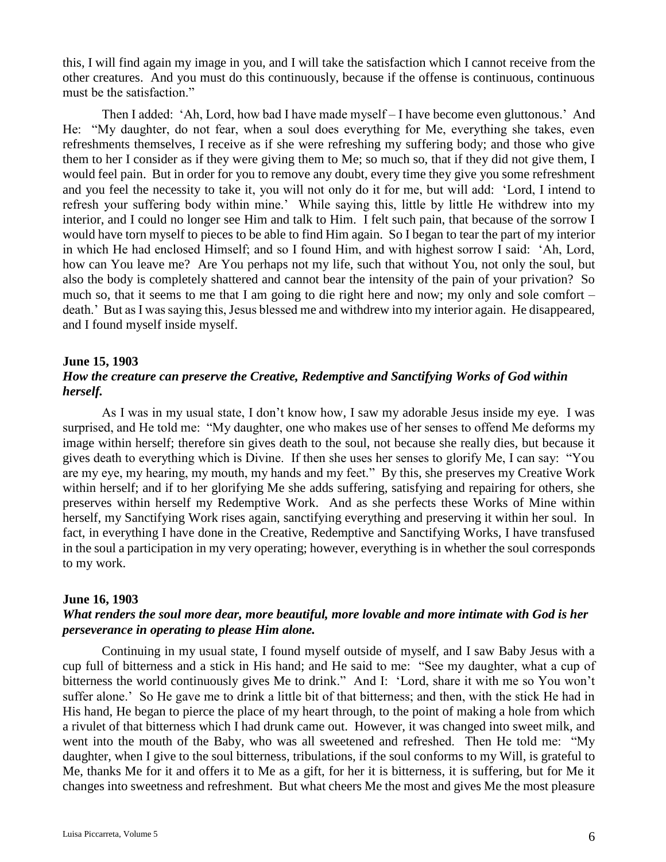this, I will find again my image in you, and I will take the satisfaction which I cannot receive from the other creatures. And you must do this continuously, because if the offense is continuous, continuous must be the satisfaction."

Then I added: 'Ah, Lord, how bad I have made myself – I have become even gluttonous.' And He: "My daughter, do not fear, when a soul does everything for Me, everything she takes, even refreshments themselves, I receive as if she were refreshing my suffering body; and those who give them to her I consider as if they were giving them to Me; so much so, that if they did not give them, I would feel pain. But in order for you to remove any doubt, every time they give you some refreshment and you feel the necessity to take it, you will not only do it for me, but will add: 'Lord, I intend to refresh your suffering body within mine.' While saying this, little by little He withdrew into my interior, and I could no longer see Him and talk to Him. I felt such pain, that because of the sorrow I would have torn myself to pieces to be able to find Him again. So I began to tear the part of my interior in which He had enclosed Himself; and so I found Him, and with highest sorrow I said: 'Ah, Lord, how can You leave me? Are You perhaps not my life, such that without You, not only the soul, but also the body is completely shattered and cannot bear the intensity of the pain of your privation? So much so, that it seems to me that I am going to die right here and now; my only and sole comfort – death.' But as I was saying this, Jesus blessed me and withdrew into my interior again. He disappeared, and I found myself inside myself.

#### **June 15, 1903**

# *How the creature can preserve the Creative, Redemptive and Sanctifying Works of God within herself.*

As I was in my usual state, I don't know how, I saw my adorable Jesus inside my eye. I was surprised, and He told me: "My daughter, one who makes use of her senses to offend Me deforms my image within herself; therefore sin gives death to the soul, not because she really dies, but because it gives death to everything which is Divine. If then she uses her senses to glorify Me, I can say: "You are my eye, my hearing, my mouth, my hands and my feet." By this, she preserves my Creative Work within herself; and if to her glorifying Me she adds suffering, satisfying and repairing for others, she preserves within herself my Redemptive Work. And as she perfects these Works of Mine within herself, my Sanctifying Work rises again, sanctifying everything and preserving it within her soul. In fact, in everything I have done in the Creative, Redemptive and Sanctifying Works, I have transfused in the soul a participation in my very operating; however, everything is in whether the soul corresponds to my work.

#### **June 16, 1903**

# *What renders the soul more dear, more beautiful, more lovable and more intimate with God is her perseverance in operating to please Him alone.*

Continuing in my usual state, I found myself outside of myself, and I saw Baby Jesus with a cup full of bitterness and a stick in His hand; and He said to me: "See my daughter, what a cup of bitterness the world continuously gives Me to drink." And I: 'Lord, share it with me so You won't suffer alone.' So He gave me to drink a little bit of that bitterness; and then, with the stick He had in His hand, He began to pierce the place of my heart through, to the point of making a hole from which a rivulet of that bitterness which I had drunk came out. However, it was changed into sweet milk, and went into the mouth of the Baby, who was all sweetened and refreshed. Then He told me: "My daughter, when I give to the soul bitterness, tribulations, if the soul conforms to my Will, is grateful to Me, thanks Me for it and offers it to Me as a gift, for her it is bitterness, it is suffering, but for Me it changes into sweetness and refreshment. But what cheers Me the most and gives Me the most pleasure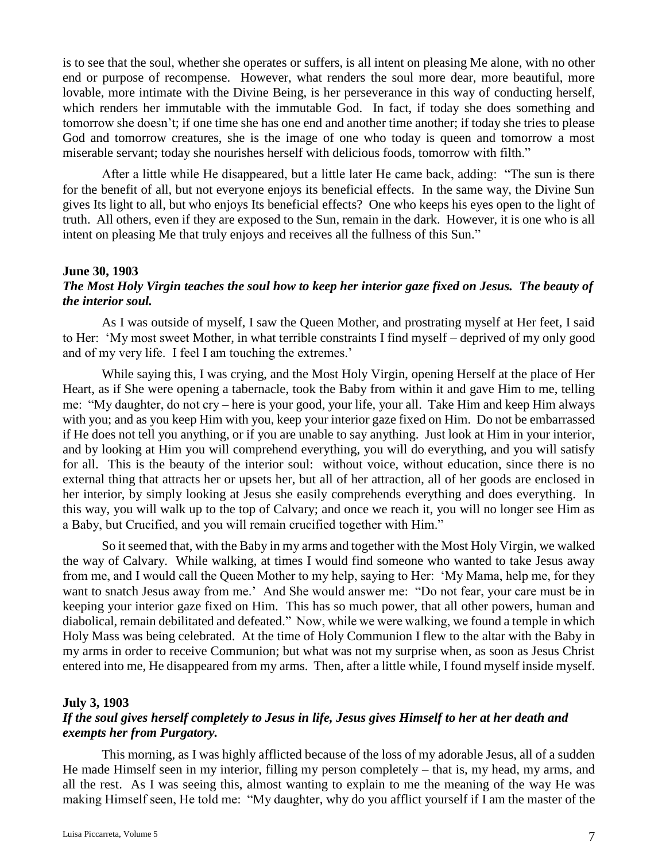is to see that the soul, whether she operates or suffers, is all intent on pleasing Me alone, with no other end or purpose of recompense. However, what renders the soul more dear, more beautiful, more lovable, more intimate with the Divine Being, is her perseverance in this way of conducting herself, which renders her immutable with the immutable God. In fact, if today she does something and tomorrow she doesn't; if one time she has one end and another time another; if today she tries to please God and tomorrow creatures, she is the image of one who today is queen and tomorrow a most miserable servant; today she nourishes herself with delicious foods, tomorrow with filth."

After a little while He disappeared, but a little later He came back, adding: "The sun is there for the benefit of all, but not everyone enjoys its beneficial effects. In the same way, the Divine Sun gives Its light to all, but who enjoys Its beneficial effects? One who keeps his eyes open to the light of truth. All others, even if they are exposed to the Sun, remain in the dark. However, it is one who is all intent on pleasing Me that truly enjoys and receives all the fullness of this Sun."

### **June 30, 1903**

# *The Most Holy Virgin teaches the soul how to keep her interior gaze fixed on Jesus. The beauty of the interior soul.*

As I was outside of myself, I saw the Queen Mother, and prostrating myself at Her feet, I said to Her: 'My most sweet Mother, in what terrible constraints I find myself – deprived of my only good and of my very life. I feel I am touching the extremes.'

While saying this, I was crying, and the Most Holy Virgin, opening Herself at the place of Her Heart, as if She were opening a tabernacle, took the Baby from within it and gave Him to me, telling me: "My daughter, do not cry – here is your good, your life, your all. Take Him and keep Him always with you; and as you keep Him with you, keep your interior gaze fixed on Him. Do not be embarrassed if He does not tell you anything, or if you are unable to say anything. Just look at Him in your interior, and by looking at Him you will comprehend everything, you will do everything, and you will satisfy for all. This is the beauty of the interior soul: without voice, without education, since there is no external thing that attracts her or upsets her, but all of her attraction, all of her goods are enclosed in her interior, by simply looking at Jesus she easily comprehends everything and does everything. In this way, you will walk up to the top of Calvary; and once we reach it, you will no longer see Him as a Baby, but Crucified, and you will remain crucified together with Him."

So it seemed that, with the Baby in my arms and together with the Most Holy Virgin, we walked the way of Calvary. While walking, at times I would find someone who wanted to take Jesus away from me, and I would call the Queen Mother to my help, saying to Her: 'My Mama, help me, for they want to snatch Jesus away from me.' And She would answer me: "Do not fear, your care must be in keeping your interior gaze fixed on Him. This has so much power, that all other powers, human and diabolical, remain debilitated and defeated." Now, while we were walking, we found a temple in which Holy Mass was being celebrated. At the time of Holy Communion I flew to the altar with the Baby in my arms in order to receive Communion; but what was not my surprise when, as soon as Jesus Christ entered into me, He disappeared from my arms. Then, after a little while, I found myself inside myself.

### **July 3, 1903**

# *If the soul gives herself completely to Jesus in life, Jesus gives Himself to her at her death and exempts her from Purgatory.*

This morning, as I was highly afflicted because of the loss of my adorable Jesus, all of a sudden He made Himself seen in my interior, filling my person completely – that is, my head, my arms, and all the rest. As I was seeing this, almost wanting to explain to me the meaning of the way He was making Himself seen, He told me: "My daughter, why do you afflict yourself if I am the master of the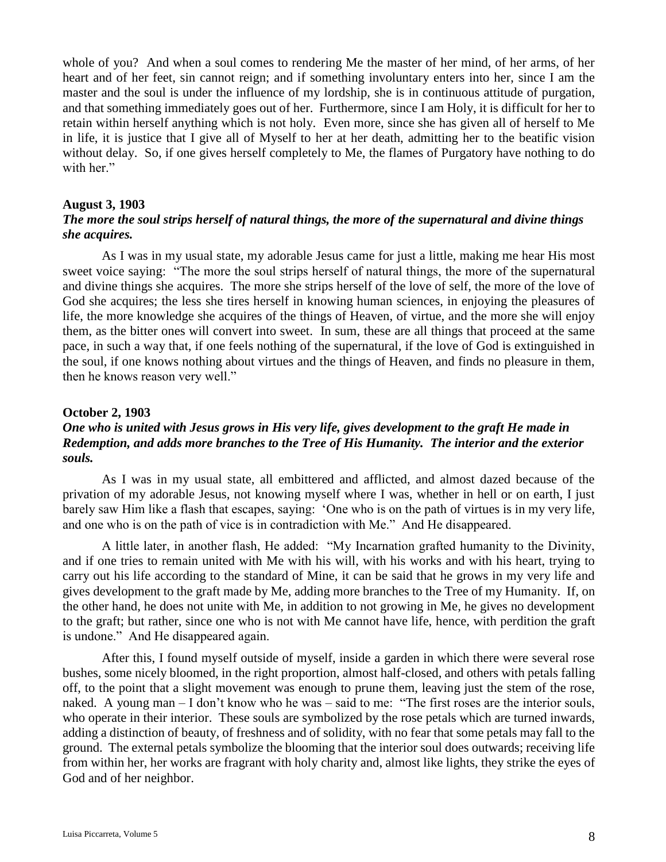whole of you? And when a soul comes to rendering Me the master of her mind, of her arms, of her heart and of her feet, sin cannot reign; and if something involuntary enters into her, since I am the master and the soul is under the influence of my lordship, she is in continuous attitude of purgation, and that something immediately goes out of her. Furthermore, since I am Holy, it is difficult for her to retain within herself anything which is not holy. Even more, since she has given all of herself to Me in life, it is justice that I give all of Myself to her at her death, admitting her to the beatific vision without delay. So, if one gives herself completely to Me, the flames of Purgatory have nothing to do with her."

#### **August 3, 1903**

# *The more the soul strips herself of natural things, the more of the supernatural and divine things she acquires.*

As I was in my usual state, my adorable Jesus came for just a little, making me hear His most sweet voice saying: "The more the soul strips herself of natural things, the more of the supernatural and divine things she acquires. The more she strips herself of the love of self, the more of the love of God she acquires; the less she tires herself in knowing human sciences, in enjoying the pleasures of life, the more knowledge she acquires of the things of Heaven, of virtue, and the more she will enjoy them, as the bitter ones will convert into sweet. In sum, these are all things that proceed at the same pace, in such a way that, if one feels nothing of the supernatural, if the love of God is extinguished in the soul, if one knows nothing about virtues and the things of Heaven, and finds no pleasure in them, then he knows reason very well."

#### **October 2, 1903**

# *One who is united with Jesus grows in His very life, gives development to the graft He made in Redemption, and adds more branches to the Tree of His Humanity. The interior and the exterior souls.*

As I was in my usual state, all embittered and afflicted, and almost dazed because of the privation of my adorable Jesus, not knowing myself where I was, whether in hell or on earth, I just barely saw Him like a flash that escapes, saying: 'One who is on the path of virtues is in my very life, and one who is on the path of vice is in contradiction with Me." And He disappeared.

A little later, in another flash, He added: "My Incarnation grafted humanity to the Divinity, and if one tries to remain united with Me with his will, with his works and with his heart, trying to carry out his life according to the standard of Mine, it can be said that he grows in my very life and gives development to the graft made by Me, adding more branches to the Tree of my Humanity. If, on the other hand, he does not unite with Me, in addition to not growing in Me, he gives no development to the graft; but rather, since one who is not with Me cannot have life, hence, with perdition the graft is undone." And He disappeared again.

After this, I found myself outside of myself, inside a garden in which there were several rose bushes, some nicely bloomed, in the right proportion, almost half-closed, and others with petals falling off, to the point that a slight movement was enough to prune them, leaving just the stem of the rose, naked. A young man – I don't know who he was – said to me: "The first roses are the interior souls, who operate in their interior. These souls are symbolized by the rose petals which are turned inwards, adding a distinction of beauty, of freshness and of solidity, with no fear that some petals may fall to the ground. The external petals symbolize the blooming that the interior soul does outwards; receiving life from within her, her works are fragrant with holy charity and, almost like lights, they strike the eyes of God and of her neighbor.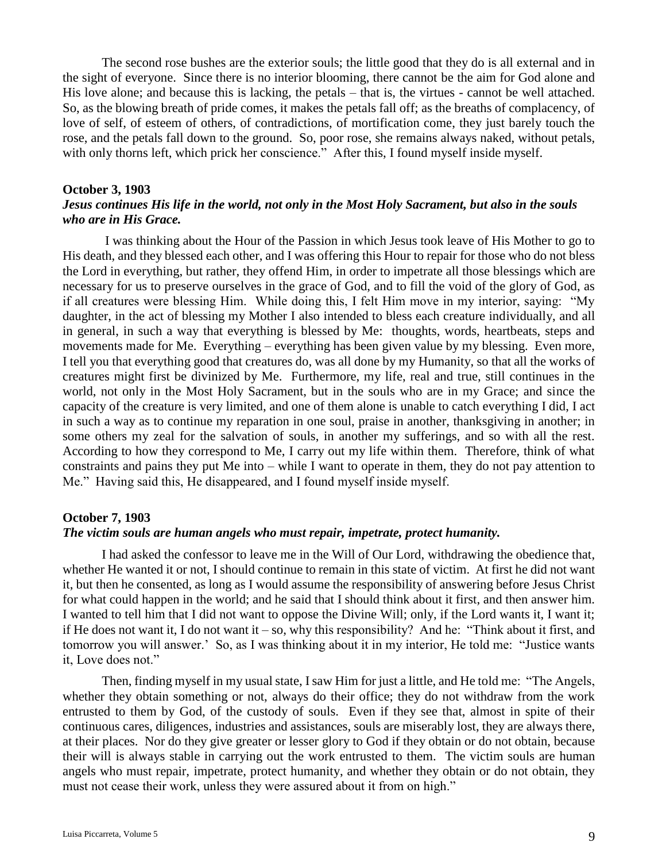The second rose bushes are the exterior souls; the little good that they do is all external and in the sight of everyone. Since there is no interior blooming, there cannot be the aim for God alone and His love alone; and because this is lacking, the petals – that is, the virtues - cannot be well attached. So, as the blowing breath of pride comes, it makes the petals fall off; as the breaths of complacency, of love of self, of esteem of others, of contradictions, of mortification come, they just barely touch the rose, and the petals fall down to the ground. So, poor rose, she remains always naked, without petals, with only thorns left, which prick her conscience." After this, I found myself inside myself.

#### **October 3, 1903**

# *Jesus continues His life in the world, not only in the Most Holy Sacrament, but also in the souls who are in His Grace.*

I was thinking about the Hour of the Passion in which Jesus took leave of His Mother to go to His death, and they blessed each other, and I was offering this Hour to repair for those who do not bless the Lord in everything, but rather, they offend Him, in order to impetrate all those blessings which are necessary for us to preserve ourselves in the grace of God, and to fill the void of the glory of God, as if all creatures were blessing Him. While doing this, I felt Him move in my interior, saying: "My daughter, in the act of blessing my Mother I also intended to bless each creature individually, and all in general, in such a way that everything is blessed by Me: thoughts, words, heartbeats, steps and movements made for Me. Everything – everything has been given value by my blessing. Even more, I tell you that everything good that creatures do, was all done by my Humanity, so that all the works of creatures might first be divinized by Me. Furthermore, my life, real and true, still continues in the world, not only in the Most Holy Sacrament, but in the souls who are in my Grace; and since the capacity of the creature is very limited, and one of them alone is unable to catch everything I did, I act in such a way as to continue my reparation in one soul, praise in another, thanksgiving in another; in some others my zeal for the salvation of souls, in another my sufferings, and so with all the rest. According to how they correspond to Me, I carry out my life within them. Therefore, think of what constraints and pains they put Me into – while I want to operate in them, they do not pay attention to Me." Having said this, He disappeared, and I found myself inside myself.

#### **October 7, 1903**

#### *The victim souls are human angels who must repair, impetrate, protect humanity.*

I had asked the confessor to leave me in the Will of Our Lord, withdrawing the obedience that, whether He wanted it or not, I should continue to remain in this state of victim. At first he did not want it, but then he consented, as long as I would assume the responsibility of answering before Jesus Christ for what could happen in the world; and he said that I should think about it first, and then answer him. I wanted to tell him that I did not want to oppose the Divine Will; only, if the Lord wants it, I want it; if He does not want it, I do not want it – so, why this responsibility? And he: "Think about it first, and tomorrow you will answer.' So, as I was thinking about it in my interior, He told me: "Justice wants it, Love does not."

Then, finding myself in my usual state, I saw Him for just a little, and He told me: "The Angels, whether they obtain something or not, always do their office; they do not withdraw from the work entrusted to them by God, of the custody of souls. Even if they see that, almost in spite of their continuous cares, diligences, industries and assistances, souls are miserably lost, they are always there, at their places. Nor do they give greater or lesser glory to God if they obtain or do not obtain, because their will is always stable in carrying out the work entrusted to them. The victim souls are human angels who must repair, impetrate, protect humanity, and whether they obtain or do not obtain, they must not cease their work, unless they were assured about it from on high."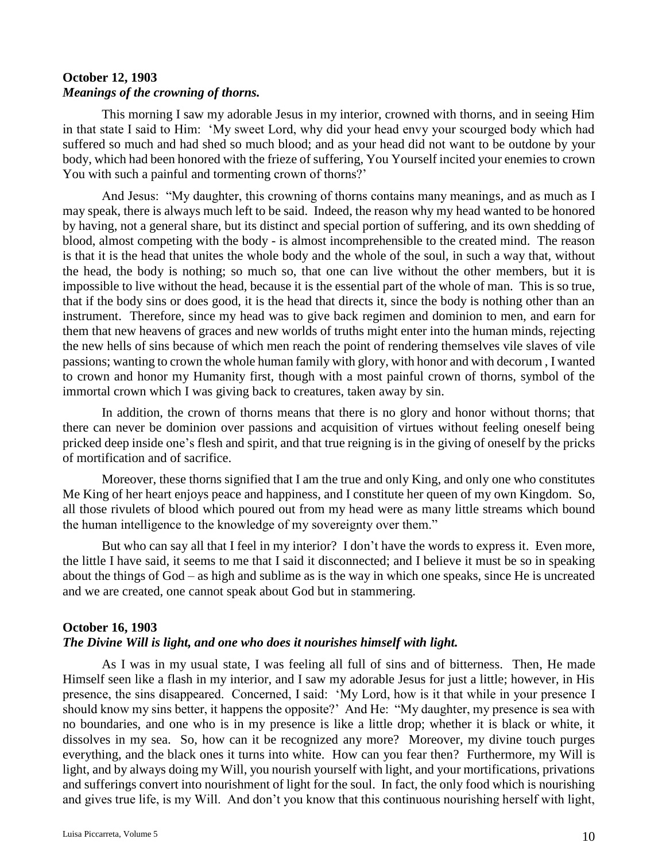# **October 12, 1903** *Meanings of the crowning of thorns.*

This morning I saw my adorable Jesus in my interior, crowned with thorns, and in seeing Him in that state I said to Him: 'My sweet Lord, why did your head envy your scourged body which had suffered so much and had shed so much blood; and as your head did not want to be outdone by your body, which had been honored with the frieze of suffering, You Yourself incited your enemies to crown You with such a painful and tormenting crown of thorns?'

And Jesus: "My daughter, this crowning of thorns contains many meanings, and as much as I may speak, there is always much left to be said. Indeed, the reason why my head wanted to be honored by having, not a general share, but its distinct and special portion of suffering, and its own shedding of blood, almost competing with the body - is almost incomprehensible to the created mind. The reason is that it is the head that unites the whole body and the whole of the soul, in such a way that, without the head, the body is nothing; so much so, that one can live without the other members, but it is impossible to live without the head, because it is the essential part of the whole of man. This is so true, that if the body sins or does good, it is the head that directs it, since the body is nothing other than an instrument. Therefore, since my head was to give back regimen and dominion to men, and earn for them that new heavens of graces and new worlds of truths might enter into the human minds, rejecting the new hells of sins because of which men reach the point of rendering themselves vile slaves of vile passions; wanting to crown the whole human family with glory, with honor and with decorum , I wanted to crown and honor my Humanity first, though with a most painful crown of thorns, symbol of the immortal crown which I was giving back to creatures, taken away by sin.

In addition, the crown of thorns means that there is no glory and honor without thorns; that there can never be dominion over passions and acquisition of virtues without feeling oneself being pricked deep inside one's flesh and spirit, and that true reigning is in the giving of oneself by the pricks of mortification and of sacrifice.

Moreover, these thorns signified that I am the true and only King, and only one who constitutes Me King of her heart enjoys peace and happiness, and I constitute her queen of my own Kingdom. So, all those rivulets of blood which poured out from my head were as many little streams which bound the human intelligence to the knowledge of my sovereignty over them."

But who can say all that I feel in my interior? I don't have the words to express it. Even more, the little I have said, it seems to me that I said it disconnected; and I believe it must be so in speaking about the things of God – as high and sublime as is the way in which one speaks, since He is uncreated and we are created, one cannot speak about God but in stammering.

# **October 16, 1903**

# *The Divine Will is light, and one who does it nourishes himself with light.*

As I was in my usual state, I was feeling all full of sins and of bitterness. Then, He made Himself seen like a flash in my interior, and I saw my adorable Jesus for just a little; however, in His presence, the sins disappeared. Concerned, I said: 'My Lord, how is it that while in your presence I should know my sins better, it happens the opposite?' And He: "My daughter, my presence is sea with no boundaries, and one who is in my presence is like a little drop; whether it is black or white, it dissolves in my sea. So, how can it be recognized any more? Moreover, my divine touch purges everything, and the black ones it turns into white. How can you fear then? Furthermore, my Will is light, and by always doing my Will, you nourish yourself with light, and your mortifications, privations and sufferings convert into nourishment of light for the soul. In fact, the only food which is nourishing and gives true life, is my Will. And don't you know that this continuous nourishing herself with light,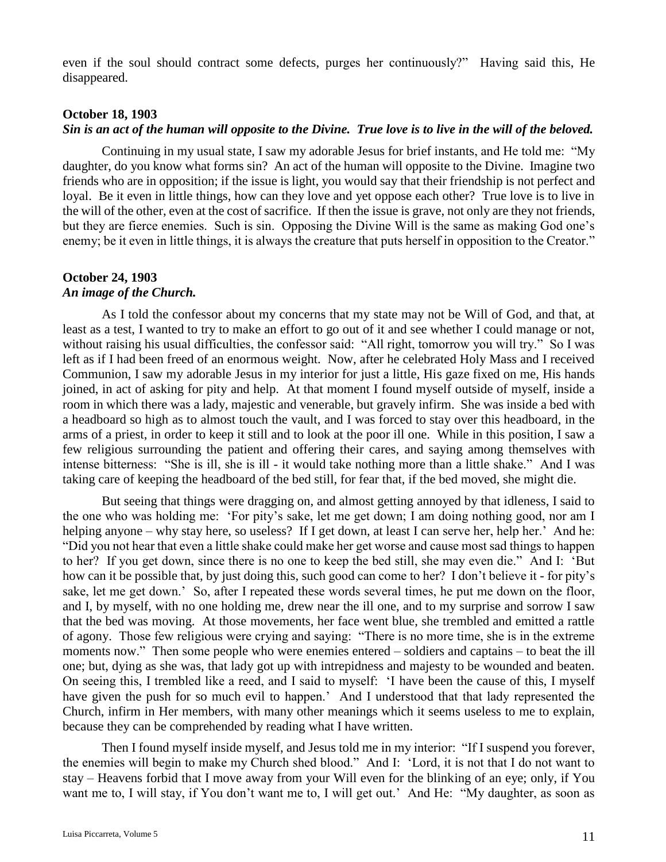even if the soul should contract some defects, purges her continuously?" Having said this, He disappeared.

#### **October 18, 1903**

### *Sin is an act of the human will opposite to the Divine. True love is to live in the will of the beloved.*

Continuing in my usual state, I saw my adorable Jesus for brief instants, and He told me: "My daughter, do you know what forms sin? An act of the human will opposite to the Divine. Imagine two friends who are in opposition; if the issue is light, you would say that their friendship is not perfect and loyal. Be it even in little things, how can they love and yet oppose each other? True love is to live in the will of the other, even at the cost of sacrifice. If then the issue is grave, not only are they not friends, but they are fierce enemies. Such is sin. Opposing the Divine Will is the same as making God one's enemy; be it even in little things, it is always the creature that puts herself in opposition to the Creator."

# **October 24, 1903**

### *An image of the Church.*

As I told the confessor about my concerns that my state may not be Will of God, and that, at least as a test, I wanted to try to make an effort to go out of it and see whether I could manage or not, without raising his usual difficulties, the confessor said: "All right, tomorrow you will try." So I was left as if I had been freed of an enormous weight. Now, after he celebrated Holy Mass and I received Communion, I saw my adorable Jesus in my interior for just a little, His gaze fixed on me, His hands joined, in act of asking for pity and help. At that moment I found myself outside of myself, inside a room in which there was a lady, majestic and venerable, but gravely infirm. She was inside a bed with a headboard so high as to almost touch the vault, and I was forced to stay over this headboard, in the arms of a priest, in order to keep it still and to look at the poor ill one. While in this position, I saw a few religious surrounding the patient and offering their cares, and saying among themselves with intense bitterness: "She is ill, she is ill - it would take nothing more than a little shake." And I was taking care of keeping the headboard of the bed still, for fear that, if the bed moved, she might die.

But seeing that things were dragging on, and almost getting annoyed by that idleness, I said to the one who was holding me: 'For pity's sake, let me get down; I am doing nothing good, nor am I helping anyone – why stay here, so useless? If I get down, at least I can serve her, help her.' And he: "Did you not hear that even a little shake could make her get worse and cause most sad things to happen to her? If you get down, since there is no one to keep the bed still, she may even die." And I: 'But how can it be possible that, by just doing this, such good can come to her? I don't believe it - for pity's sake, let me get down.' So, after I repeated these words several times, he put me down on the floor, and I, by myself, with no one holding me, drew near the ill one, and to my surprise and sorrow I saw that the bed was moving. At those movements, her face went blue, she trembled and emitted a rattle of agony. Those few religious were crying and saying: "There is no more time, she is in the extreme moments now." Then some people who were enemies entered – soldiers and captains – to beat the ill one; but, dying as she was, that lady got up with intrepidness and majesty to be wounded and beaten. On seeing this, I trembled like a reed, and I said to myself: 'I have been the cause of this, I myself have given the push for so much evil to happen.' And I understood that that lady represented the Church, infirm in Her members, with many other meanings which it seems useless to me to explain, because they can be comprehended by reading what I have written.

Then I found myself inside myself, and Jesus told me in my interior: "If I suspend you forever, the enemies will begin to make my Church shed blood." And I: 'Lord, it is not that I do not want to stay – Heavens forbid that I move away from your Will even for the blinking of an eye; only, if You want me to, I will stay, if You don't want me to, I will get out.' And He: "My daughter, as soon as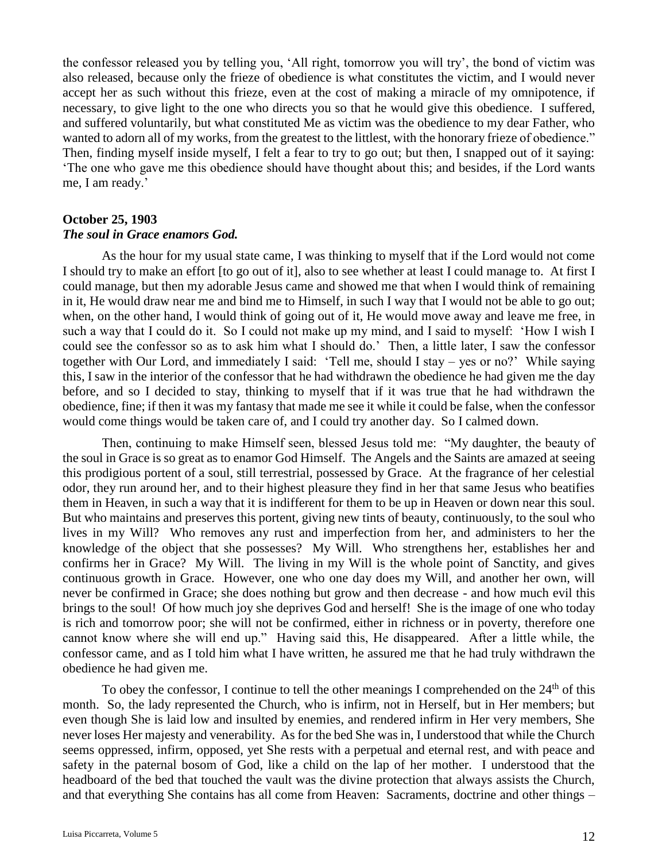the confessor released you by telling you, 'All right, tomorrow you will try', the bond of victim was also released, because only the frieze of obedience is what constitutes the victim, and I would never accept her as such without this frieze, even at the cost of making a miracle of my omnipotence, if necessary, to give light to the one who directs you so that he would give this obedience. I suffered, and suffered voluntarily, but what constituted Me as victim was the obedience to my dear Father, who wanted to adorn all of my works, from the greatest to the littlest, with the honorary frieze of obedience." Then, finding myself inside myself, I felt a fear to try to go out; but then, I snapped out of it saying: 'The one who gave me this obedience should have thought about this; and besides, if the Lord wants me, I am ready.'

# **October 25, 1903** *The soul in Grace enamors God.*

As the hour for my usual state came, I was thinking to myself that if the Lord would not come I should try to make an effort [to go out of it], also to see whether at least I could manage to. At first I could manage, but then my adorable Jesus came and showed me that when I would think of remaining in it, He would draw near me and bind me to Himself, in such I way that I would not be able to go out; when, on the other hand, I would think of going out of it, He would move away and leave me free, in such a way that I could do it. So I could not make up my mind, and I said to myself: 'How I wish I could see the confessor so as to ask him what I should do.' Then, a little later, I saw the confessor together with Our Lord, and immediately I said: 'Tell me, should I stay – yes or no?' While saying this, I saw in the interior of the confessor that he had withdrawn the obedience he had given me the day before, and so I decided to stay, thinking to myself that if it was true that he had withdrawn the obedience, fine; if then it was my fantasy that made me see it while it could be false, when the confessor would come things would be taken care of, and I could try another day. So I calmed down.

Then, continuing to make Himself seen, blessed Jesus told me: "My daughter, the beauty of the soul in Grace is so great as to enamor God Himself. The Angels and the Saints are amazed at seeing this prodigious portent of a soul, still terrestrial, possessed by Grace. At the fragrance of her celestial odor, they run around her, and to their highest pleasure they find in her that same Jesus who beatifies them in Heaven, in such a way that it is indifferent for them to be up in Heaven or down near this soul. But who maintains and preserves this portent, giving new tints of beauty, continuously, to the soul who lives in my Will? Who removes any rust and imperfection from her, and administers to her the knowledge of the object that she possesses? My Will. Who strengthens her, establishes her and confirms her in Grace? My Will. The living in my Will is the whole point of Sanctity, and gives continuous growth in Grace. However, one who one day does my Will, and another her own, will never be confirmed in Grace; she does nothing but grow and then decrease - and how much evil this brings to the soul! Of how much joy she deprives God and herself! She is the image of one who today is rich and tomorrow poor; she will not be confirmed, either in richness or in poverty, therefore one cannot know where she will end up." Having said this, He disappeared. After a little while, the confessor came, and as I told him what I have written, he assured me that he had truly withdrawn the obedience he had given me.

To obey the confessor, I continue to tell the other meanings I comprehended on the  $24<sup>th</sup>$  of this month. So, the lady represented the Church, who is infirm, not in Herself, but in Her members; but even though She is laid low and insulted by enemies, and rendered infirm in Her very members, She never loses Her majesty and venerability. As for the bed She was in, I understood that while the Church seems oppressed, infirm, opposed, yet She rests with a perpetual and eternal rest, and with peace and safety in the paternal bosom of God, like a child on the lap of her mother. I understood that the headboard of the bed that touched the vault was the divine protection that always assists the Church, and that everything She contains has all come from Heaven: Sacraments, doctrine and other things –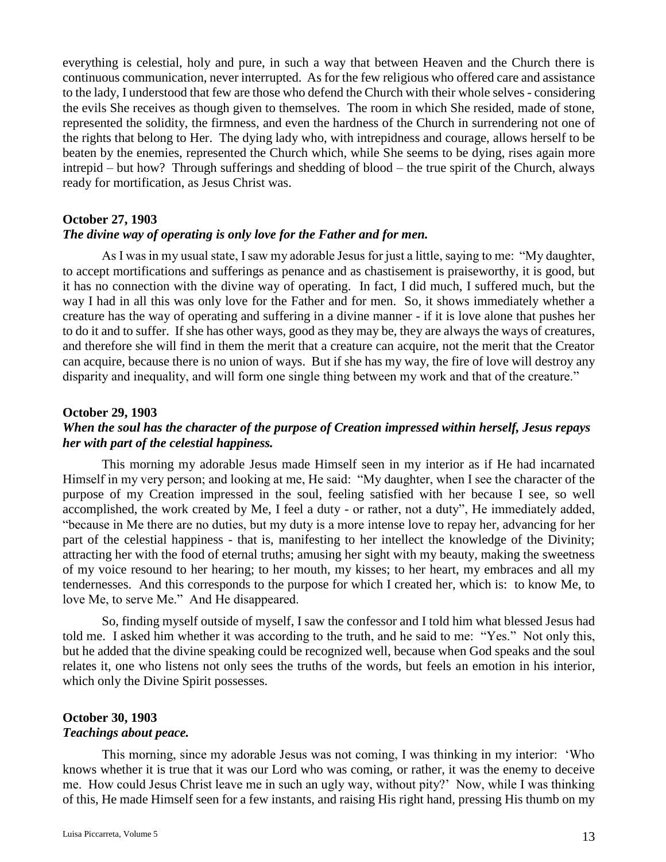everything is celestial, holy and pure, in such a way that between Heaven and the Church there is continuous communication, never interrupted. As for the few religious who offered care and assistance to the lady, I understood that few are those who defend the Church with their whole selves - considering the evils She receives as though given to themselves. The room in which She resided, made of stone, represented the solidity, the firmness, and even the hardness of the Church in surrendering not one of the rights that belong to Her. The dying lady who, with intrepidness and courage, allows herself to be beaten by the enemies, represented the Church which, while She seems to be dying, rises again more intrepid – but how? Through sufferings and shedding of blood – the true spirit of the Church, always ready for mortification, as Jesus Christ was.

### **October 27, 1903**

#### *The divine way of operating is only love for the Father and for men.*

As I was in my usual state, I saw my adorable Jesus for just a little, saying to me: "My daughter, to accept mortifications and sufferings as penance and as chastisement is praiseworthy, it is good, but it has no connection with the divine way of operating. In fact, I did much, I suffered much, but the way I had in all this was only love for the Father and for men. So, it shows immediately whether a creature has the way of operating and suffering in a divine manner - if it is love alone that pushes her to do it and to suffer. If she has other ways, good as they may be, they are always the ways of creatures, and therefore she will find in them the merit that a creature can acquire, not the merit that the Creator can acquire, because there is no union of ways. But if she has my way, the fire of love will destroy any disparity and inequality, and will form one single thing between my work and that of the creature."

# **October 29, 1903** *When the soul has the character of the purpose of Creation impressed within herself, Jesus repays her with part of the celestial happiness.*

This morning my adorable Jesus made Himself seen in my interior as if He had incarnated Himself in my very person; and looking at me, He said: "My daughter, when I see the character of the purpose of my Creation impressed in the soul, feeling satisfied with her because I see, so well accomplished, the work created by Me, I feel a duty - or rather, not a duty", He immediately added, "because in Me there are no duties, but my duty is a more intense love to repay her, advancing for her part of the celestial happiness - that is, manifesting to her intellect the knowledge of the Divinity; attracting her with the food of eternal truths; amusing her sight with my beauty, making the sweetness of my voice resound to her hearing; to her mouth, my kisses; to her heart, my embraces and all my tendernesses. And this corresponds to the purpose for which I created her, which is: to know Me, to love Me, to serve Me." And He disappeared.

So, finding myself outside of myself, I saw the confessor and I told him what blessed Jesus had told me. I asked him whether it was according to the truth, and he said to me: "Yes." Not only this, but he added that the divine speaking could be recognized well, because when God speaks and the soul relates it, one who listens not only sees the truths of the words, but feels an emotion in his interior, which only the Divine Spirit possesses.

### **October 30, 1903** *Teachings about peace.*

This morning, since my adorable Jesus was not coming, I was thinking in my interior: 'Who knows whether it is true that it was our Lord who was coming, or rather, it was the enemy to deceive me. How could Jesus Christ leave me in such an ugly way, without pity?' Now, while I was thinking of this, He made Himself seen for a few instants, and raising His right hand, pressing His thumb on my